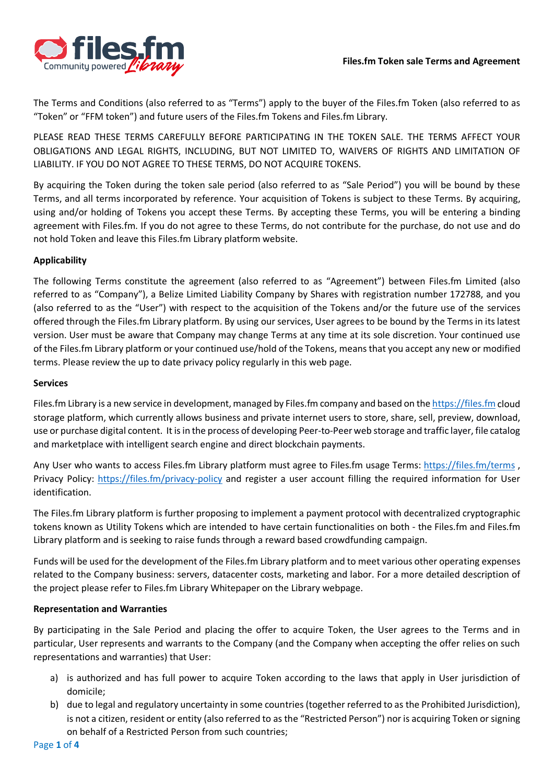

The Terms and Conditions (also referred to as "Terms") apply to the buyer of the Files.fm Token (also referred to as "Token" or "FFM token") and future users of the Files.fm Tokens and Files.fm Library.

PLEASE READ THESE TERMS CAREFULLY BEFORE PARTICIPATING IN THE TOKEN SALE. THE TERMS AFFECT YOUR OBLIGATIONS AND LEGAL RIGHTS, INCLUDING, BUT NOT LIMITED TO, WAIVERS OF RIGHTS AND LIMITATION OF LIABILITY. IF YOU DO NOT AGREE TO THESE TERMS, DO NOT ACQUIRE TOKENS.

By acquiring the Token during the token sale period (also referred to as "Sale Period") you will be bound by these Terms, and all terms incorporated by reference. Your acquisition of Tokens is subject to these Terms. By acquiring, using and/or holding of Tokens you accept these Terms. By accepting these Terms, you will be entering a binding agreement with Files.fm. If you do not agree to these Terms, do not contribute for the purchase, do not use and do not hold Token and leave this Files.fm Library platform website.

## **Applicability**

The following Terms constitute the agreement (also referred to as "Agreement") between Files.fm Limited (also referred to as "Company"), a Belize Limited Liability Company by Shares with registration number 172788, and you (also referred to as the "User") with respect to the acquisition of the Tokens and/or the future use of the services offered through the Files.fm Library platform. By using our services, User agrees to be bound by the Terms in its latest version. User must be aware that Company may change Terms at any time at its sole discretion. Your continued use of the Files.fm Library platform or your continued use/hold of the Tokens, means that you accept any new or modified terms. Please review the up to date privacy policy regularly in this web page.

### **Services**

Files.fm Library is a new service in development, managed by Files.fm company and based on the [https://files.fm](https://files.fm/) cloud storage platform, which currently allows business and private internet users to store, share, sell, preview, download, use or purchase digital content. It is in the process of developing Peer-to-Peer web storage and traffic layer, file catalog and marketplace with intelligent search engine and direct blockchain payments.

Any User who wants to access Files.fm Library platform must agree to Files.fm usage Terms:<https://files.fm/terms> , Privacy Policy:<https://files.fm/privacy-policy> and register a user account filling the required information for User identification.

The Files.fm Library platform is further proposing to implement a payment protocol with decentralized cryptographic tokens known as Utility Tokens which are intended to have certain functionalities on both - the Files.fm and Files.fm Library platform and is seeking to raise funds through a reward based crowdfunding campaign.

Funds will be used for the development of the Files.fm Library platform and to meet various other operating expenses related to the Company business: servers, datacenter costs, marketing and labor. For a more detailed description of the project please refer to Files.fm Library Whitepaper on the Library webpage.

### **Representation and Warranties**

By participating in the Sale Period and placing the offer to acquire Token, the User agrees to the Terms and in particular, User represents and warrants to the Company (and the Company when accepting the offer relies on such representations and warranties) that User:

- a) is authorized and has full power to acquire Token according to the laws that apply in User jurisdiction of domicile;
- b) due to legal and regulatory uncertainty in some countries(together referred to as the Prohibited Jurisdiction), is not a citizen, resident or entity (also referred to as the "Restricted Person") nor is acquiring Token or signing on behalf of a Restricted Person from such countries;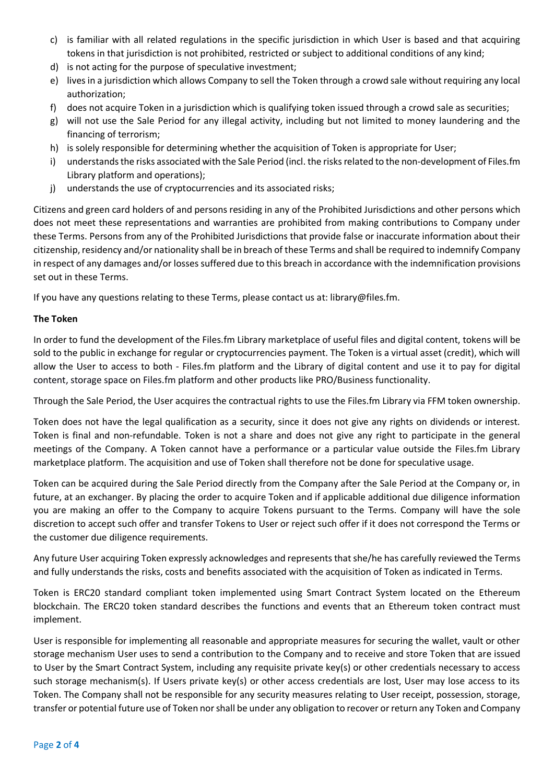- c) is familiar with all related regulations in the specific jurisdiction in which User is based and that acquiring tokens in that jurisdiction is not prohibited, restricted or subject to additional conditions of any kind;
- d) is not acting for the purpose of speculative investment;
- e) lives in a jurisdiction which allows Company to sell the Token through a crowd sale without requiring any local authorization;
- f) does not acquire Token in a jurisdiction which is qualifying token issued through a crowd sale as securities;
- g) will not use the Sale Period for any illegal activity, including but not limited to money laundering and the financing of terrorism;
- h) is solely responsible for determining whether the acquisition of Token is appropriate for User;
- i) understands the risks associated with the Sale Period (incl. the risks related to the non-development of Files.fm Library platform and operations);
- j) understands the use of cryptocurrencies and its associated risks;

Citizens and green card holders of and persons residing in any of the Prohibited Jurisdictions and other persons which does not meet these representations and warranties are prohibited from making contributions to Company under these Terms. Persons from any of the Prohibited Jurisdictions that provide false or inaccurate information about their citizenship, residency and/or nationality shall be in breach of these Terms and shall be required to indemnify Company in respect of any damages and/or losses suffered due to this breach in accordance with the indemnification provisions set out in these Terms.

If you have any questions relating to these Terms, please contact us at: library@files.fm.

# **The Token**

In order to fund the development of the Files.fm Library marketplace of useful files and digital content, tokens will be sold to the public in exchange for regular or cryptocurrencies payment. The Token is a virtual asset (credit), which will allow the User to access to both - Files.fm platform and the Library of digital content and use it to pay for digital content, storage space on Files.fm platform and other products like PRO/Business functionality.

Through the Sale Period, the User acquires the contractual rights to use the Files.fm Library via FFM token ownership.

Token does not have the legal qualification as a security, since it does not give any rights on dividends or interest. Token is final and non-refundable. Token is not a share and does not give any right to participate in the general meetings of the Company. A Token cannot have a performance or a particular value outside the Files.fm Library marketplace platform. The acquisition and use of Token shall therefore not be done for speculative usage.

Token can be acquired during the Sale Period directly from the Company after the Sale Period at the Company or, in future, at an exchanger. By placing the order to acquire Token and if applicable additional due diligence information you are making an offer to the Company to acquire Tokens pursuant to the Terms. Company will have the sole discretion to accept such offer and transfer Tokens to User or reject such offer if it does not correspond the Terms or the customer due diligence requirements.

Any future User acquiring Token expressly acknowledges and represents that she/he has carefully reviewed the Terms and fully understands the risks, costs and benefits associated with the acquisition of Token as indicated in Terms.

Token is ERC20 standard compliant token implemented using Smart Contract System located on the Ethereum blockchain. The ERC20 token standard describes the functions and events that an Ethereum token contract must implement.

User is responsible for implementing all reasonable and appropriate measures for securing the wallet, vault or other storage mechanism User uses to send a contribution to the Company and to receive and store Token that are issued to User by the Smart Contract System, including any requisite private key(s) or other credentials necessary to access such storage mechanism(s). If Users private key(s) or other access credentials are lost, User may lose access to its Token. The Company shall not be responsible for any security measures relating to User receipt, possession, storage, transfer or potential future use of Token nor shall be under any obligation to recover or return any Token and Company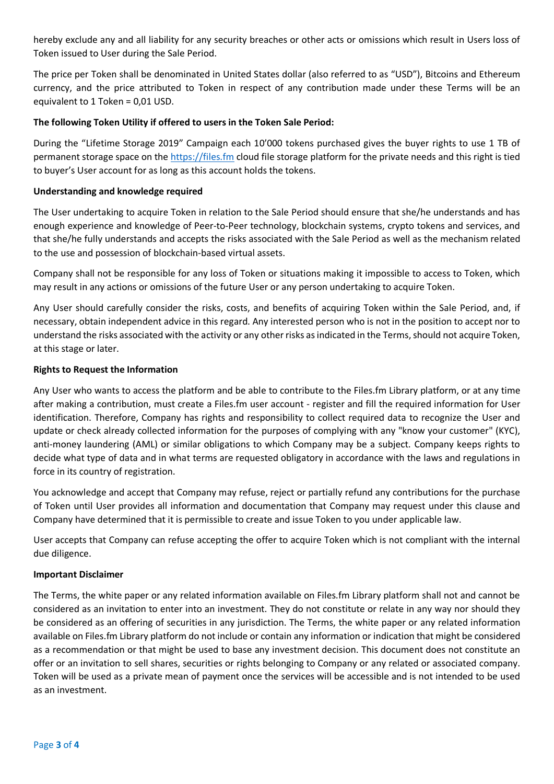hereby exclude any and all liability for any security breaches or other acts or omissions which result in Users loss of Token issued to User during the Sale Period.

The price per Token shall be denominated in United States dollar (also referred to as "USD"), Bitcoins and Ethereum currency, and the price attributed to Token in respect of any contribution made under these Terms will be an equivalent to 1 Token = 0,01 USD.

## **The following Token Utility if offered to users in the Token Sale Period:**

During the "Lifetime Storage 2019" Campaign each 10'000 tokens purchased gives the buyer rights to use 1 TB of permanent storage space on the [https://files.fm](https://files.fm/) cloud file storage platform for the private needs and this right is tied to buyer's User account for as long as this account holds the tokens.

### **Understanding and knowledge required**

The User undertaking to acquire Token in relation to the Sale Period should ensure that she/he understands and has enough experience and knowledge of Peer-to-Peer technology, blockchain systems, crypto tokens and services, and that she/he fully understands and accepts the risks associated with the Sale Period as well as the mechanism related to the use and possession of blockchain-based virtual assets.

Company shall not be responsible for any loss of Token or situations making it impossible to access to Token, which may result in any actions or omissions of the future User or any person undertaking to acquire Token.

Any User should carefully consider the risks, costs, and benefits of acquiring Token within the Sale Period, and, if necessary, obtain independent advice in this regard. Any interested person who is not in the position to accept nor to understand the risks associated with the activity or any other risks as indicated in the Terms, should not acquire Token, at this stage or later.

### **Rights to Request the Information**

Any User who wants to access the platform and be able to contribute to the Files.fm Library platform, or at any time after making a contribution, must create a Files.fm user account - register and fill the required information for User identification. Therefore, Company has rights and responsibility to collect required data to recognize the User and update or check already collected information for the purposes of complying with any "know your customer" (KYC), anti-money laundering (AML) or similar obligations to which Company may be a subject. Company keeps rights to decide what type of data and in what terms are requested obligatory in accordance with the laws and regulations in force in its country of registration.

You acknowledge and accept that Company may refuse, reject or partially refund any contributions for the purchase of Token until User provides all information and documentation that Company may request under this clause and Company have determined that it is permissible to create and issue Token to you under applicable law.

User accepts that Company can refuse accepting the offer to acquire Token which is not compliant with the internal due diligence.

### **Important Disclaimer**

The Terms, the white paper or any related information available on Files.fm Library platform shall not and cannot be considered as an invitation to enter into an investment. They do not constitute or relate in any way nor should they be considered as an offering of securities in any jurisdiction. The Terms, the white paper or any related information available on Files.fm Library platform do not include or contain any information or indication that might be considered as a recommendation or that might be used to base any investment decision. This document does not constitute an offer or an invitation to sell shares, securities or rights belonging to Company or any related or associated company. Token will be used as a private mean of payment once the services will be accessible and is not intended to be used as an investment.